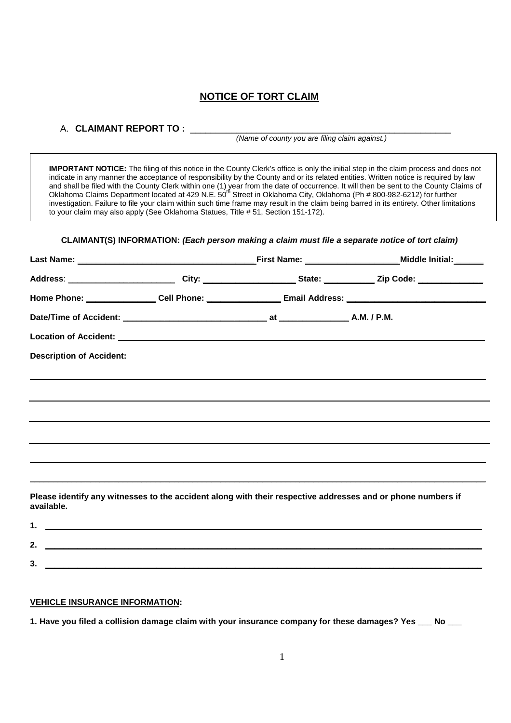# **NOTICE OF TORT CLAIM**

## A. **CLAIMANT REPORT TO :**

(Name of county you are filing claim against.)

 **IMPORTANT NOTICE:** The filing of this notice in the County Clerk's office is only the initial step in the claim process and does not indicate in any manner the acceptance of responsibility by the County and or its related entities. Written notice is required by law and shall be filed with the County Clerk within one (1) year from the date of occurrence. It will then be sent to the County Claims of<br>Oklahoma Claims Department located at 429 N.E. 50<sup>th</sup> Street in Oklahoma City, Oklahoma investigation. Failure to file your claim within such time frame may result in the claim being barred in its entirety. Other limitations to your claim may also apply (See Oklahoma Statues, Title # 51, Section 151-172).

## **CLAIMANT(S) INFORMATION: (Each person making a claim must file a separate notice of tort claim)**

|                                                                                                                                                                                                                                      |                                                                                                                | Address: _____________________________City: ________________________State: ___________________________________ |
|--------------------------------------------------------------------------------------------------------------------------------------------------------------------------------------------------------------------------------------|----------------------------------------------------------------------------------------------------------------|----------------------------------------------------------------------------------------------------------------|
|                                                                                                                                                                                                                                      | Home Phone: _________________Cell Phone: ________________________Email Address: ______________________________ |                                                                                                                |
|                                                                                                                                                                                                                                      |                                                                                                                |                                                                                                                |
| Location of Accident: <u>example and a series of the series of the series of the series of the series of the series of the series of the series of the series of the series of the series of the series of the series of the ser</u> |                                                                                                                |                                                                                                                |
| <b>Description of Accident:</b>                                                                                                                                                                                                      |                                                                                                                |                                                                                                                |
|                                                                                                                                                                                                                                      |                                                                                                                |                                                                                                                |
|                                                                                                                                                                                                                                      |                                                                                                                |                                                                                                                |
|                                                                                                                                                                                                                                      |                                                                                                                |                                                                                                                |
|                                                                                                                                                                                                                                      |                                                                                                                |                                                                                                                |
|                                                                                                                                                                                                                                      |                                                                                                                |                                                                                                                |
|                                                                                                                                                                                                                                      |                                                                                                                | ,我们也不会有什么?""我们的人,我们也不会有什么?""我们的人,我们也不会有什么?""我们的人,我们也不会有什么?""我们的人,我们也不会有什么?""我们的人                               |
| available.                                                                                                                                                                                                                           |                                                                                                                | Please identify any witnesses to the accident along with their respective addresses and or phone numbers if    |

| .,<br>v. |  |
|----------|--|

## **VEHICLE INSURANCE INFORMATION:**

**1. Have you filed a collision damage claim with your insurance company for these damages? Yes \_\_\_ No \_\_\_**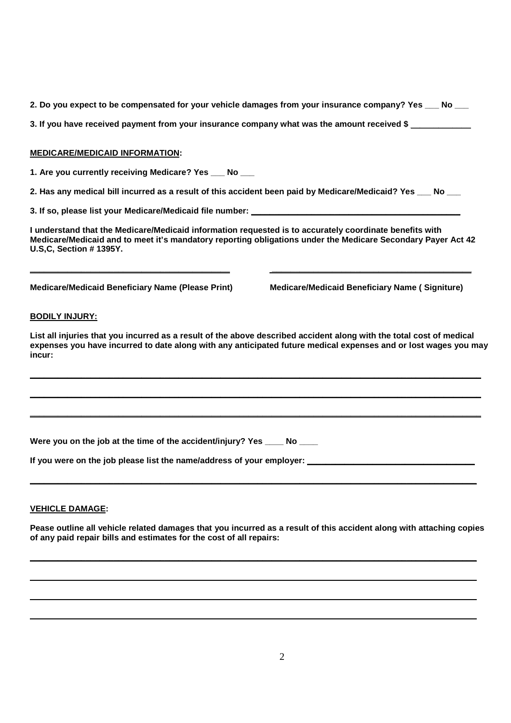**2. Do you expect to be compensated for your vehicle damages from your insurance company? Yes \_\_\_ No \_\_\_** 

3. If you have received payment from your insurance company what was the amount received \$

## **MEDICARE/MEDICAID INFORMATION:**

**1. Are you currently receiving Medicare? Yes \_\_\_ No \_\_\_** 

**2. Has any medical bill incurred as a result of this accident been paid by Medicare/Medicaid? Yes \_\_\_ No \_\_\_** 

**3. If so, please list your Medicare/Medicaid file number: \_\_\_\_\_\_\_\_\_\_\_\_\_\_\_\_\_\_\_\_\_\_\_\_\_\_\_\_\_\_\_\_\_\_\_\_\_\_\_\_\_\_\_\_\_** 

**I understand that the Medicare/Medicaid information requested is to accurately coordinate benefits with Medicare/Medicaid and to meet it's mandatory reporting obligations under the Medicare Secondary Payer Act 42 U.S,C, Section # 1395Y.** 

**\_\_\_\_\_\_\_\_\_\_\_\_\_\_\_\_\_\_\_\_\_\_\_\_\_\_\_\_\_\_\_\_\_\_\_\_\_\_\_\_\_\_\_ \_\_\_\_\_\_\_\_\_\_\_\_\_\_\_\_\_\_\_\_\_\_\_\_\_\_\_\_\_\_\_\_\_\_\_\_\_\_\_\_\_\_\_** 

**Medicare/Medicaid Beneficiary Name (Please Print) Medicare/Medicaid Beneficiary Name ( Signiture)** 

## **BODILY INJURY:**

**List all injuries that you incurred as a result of the above described accident along with the total cost of medical expenses you have incurred to date along with any anticipated future medical expenses and or lost wages you may incur:** 

**\_\_\_\_\_\_\_\_\_\_\_\_\_\_\_\_\_\_\_\_\_\_\_\_\_\_\_\_\_\_\_\_\_\_\_\_\_\_\_\_\_\_\_\_\_\_\_\_\_\_\_\_\_\_\_\_\_\_\_\_\_\_\_\_\_\_\_\_\_\_\_\_\_\_\_\_\_\_\_\_\_\_\_\_\_\_\_\_\_\_\_\_\_\_\_\_\_** 

**\_\_\_\_\_\_\_\_\_\_\_\_\_\_\_\_\_\_\_\_\_\_\_\_\_\_\_\_\_\_\_\_\_\_\_\_\_\_\_\_\_\_\_\_\_\_\_\_\_\_\_\_\_\_\_\_\_\_\_\_\_\_\_\_\_\_\_\_\_\_\_\_\_\_\_\_\_\_\_\_\_\_\_\_\_\_\_\_\_\_\_\_\_\_\_\_\_** 

**\_\_\_\_\_\_\_\_\_\_\_\_\_\_\_\_\_\_\_\_\_\_\_\_\_\_\_\_\_\_\_\_\_\_\_\_\_\_\_\_\_\_\_\_\_\_\_\_\_\_\_\_\_\_\_\_\_\_\_\_\_\_\_\_\_\_\_\_\_\_\_\_\_\_\_\_\_\_\_\_\_\_\_\_\_\_\_\_\_\_\_\_\_\_\_\_\_** 

Were you on the job at the time of the accident/injury? Yes \_\_\_\_ No \_\_\_\_

If you were on the job please list the name/address of your employer:

## **VEHICLE DAMAGE:**

**Pease outline all vehicle related damages that you incurred as a result of this accident along with attaching copies of any paid repair bills and estimates for the cost of all repairs:** 

**\_\_\_\_\_\_\_\_\_\_\_\_\_\_\_\_\_\_\_\_\_\_\_\_\_\_\_\_\_\_\_\_\_\_\_\_\_\_\_\_\_\_\_\_\_\_\_\_\_\_\_\_\_\_\_\_\_\_\_\_\_\_\_\_\_\_\_\_\_\_\_\_\_\_\_\_\_\_\_\_\_\_\_\_\_\_\_\_\_\_\_\_\_\_\_\_** 

\_\_\_\_\_\_\_\_\_\_\_\_\_\_\_\_\_\_\_\_\_\_\_\_\_\_\_\_\_\_\_\_\_\_\_\_\_\_\_\_\_\_\_\_\_\_\_\_\_\_\_\_\_\_\_\_\_\_\_\_\_\_\_\_\_\_\_\_\_\_\_\_\_\_\_\_\_\_\_\_\_\_\_\_\_\_\_\_\_\_\_\_\_\_\_\_

\_\_\_\_\_\_\_\_\_\_\_\_\_\_\_\_\_\_\_\_\_\_\_\_\_\_\_\_\_\_\_\_\_\_\_\_\_\_\_\_\_\_\_\_\_\_\_\_\_\_\_\_\_\_\_\_\_\_\_\_\_\_\_\_\_\_\_\_\_\_\_\_\_\_\_\_\_\_\_\_\_\_\_\_\_\_\_\_\_\_\_\_\_\_\_\_

\_\_\_\_\_\_\_\_\_\_\_\_\_\_\_\_\_\_\_\_\_\_\_\_\_\_\_\_\_\_\_\_\_\_\_\_\_\_\_\_\_\_\_\_\_\_\_\_\_\_\_\_\_\_\_\_\_\_\_\_\_\_\_\_\_\_\_\_\_\_\_\_\_\_\_\_\_\_\_\_\_\_\_\_\_\_\_\_\_\_\_\_\_\_\_\_

**\_\_\_\_\_\_\_\_\_\_\_\_\_\_\_\_\_\_\_\_\_\_\_\_\_\_\_\_\_\_\_\_\_\_\_\_\_\_\_\_\_\_\_\_\_\_\_\_\_\_\_\_\_\_\_\_\_\_\_\_\_\_\_\_\_\_\_\_\_\_\_\_\_\_\_\_\_\_\_\_\_\_\_\_\_\_\_\_\_\_\_\_\_\_\_\_**